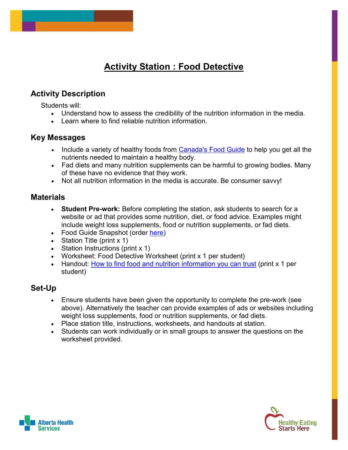#### **Activity Station : Food Detective**

#### **Activity Description**

Students will:

- Understand how to assess the credibility of the nutrition information in the media.
- Learn where to find reliable nutrition information.

#### **Key Messages**

- Include a variety of healthy foods from [Canada's Food Guide](https://food-guide.canada.ca/en/healthy-food-choices/) to help you get all the nutrients needed to maintain a healthy body.
- Fad diets and many nutrition supplements can be harmful to growing bodies. Many of these have no evidence that they work.
- Not all nutrition information in the media is accurate. Be consumer savvy!

#### **Materials**

- **Student Pre-work:** Before completing the station, ask students to search for a website or ad that provides some nutrition, diet, or food advice. Examples might include weight loss supplements, food or nutrition supplements, or fad diets.
- Food Guide Snapshot (order [here\)](https://www.hc-publication-sc.hc-sc.gc.ca/paccb-dgapcc/cmcd-dcmc/webpubs.nsf/Web1/180595?OpenDocument&lang=eng&)
- Station Title (print x 1)
- Station Instructions (print x 1)
- Worksheet: Food Detective Worksheet (print x 1 per student)
- Handout: [How to find food and nutrition information you can trust](http://www.dietitians.ca/Downloads/Public/FACTSHEET-Credible-information-ENG.aspx) (print x 1 per student)

#### **Set-Up**

- Ensure students have been given the opportunity to complete the pre-work (see above). Alternatively the teacher can provide examples of ads or websites including weight loss supplements, food or nutrition supplements, or fad diets.
- Place station title, instructions, worksheets, and handouts at station.
- Students can work individually or in small groups to answer the questions on the worksheet provided.



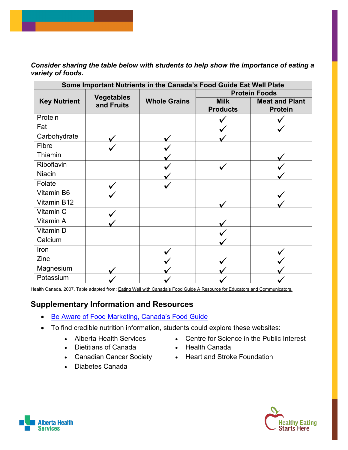*Consider sharing the table below with students to help show the importance of eating a variety of foods.*

| Some Important Nutrients in the Canada's Food Guide Eat Well Plate |                                 |                     |                                |                                         |  |
|--------------------------------------------------------------------|---------------------------------|---------------------|--------------------------------|-----------------------------------------|--|
|                                                                    |                                 |                     | <b>Protein Foods</b>           |                                         |  |
| <b>Key Nutrient</b>                                                | <b>Vegetables</b><br>and Fruits | <b>Whole Grains</b> | <b>Milk</b><br><b>Products</b> | <b>Meat and Plant</b><br><b>Protein</b> |  |
| Protein                                                            |                                 |                     |                                |                                         |  |
| Fat                                                                |                                 |                     |                                |                                         |  |
| Carbohydrate                                                       |                                 |                     |                                |                                         |  |
| Fibre                                                              |                                 |                     |                                |                                         |  |
| Thiamin                                                            |                                 |                     |                                |                                         |  |
| Riboflavin                                                         |                                 |                     |                                |                                         |  |
| <b>Niacin</b>                                                      |                                 |                     |                                |                                         |  |
| Folate                                                             |                                 |                     |                                |                                         |  |
| Vitamin B6                                                         |                                 |                     |                                |                                         |  |
| Vitamin B12                                                        |                                 |                     |                                |                                         |  |
| Vitamin C                                                          |                                 |                     |                                |                                         |  |
| Vitamin A                                                          |                                 |                     |                                |                                         |  |
| <b>Vitamin D</b>                                                   |                                 |                     |                                |                                         |  |
| Calcium                                                            |                                 |                     |                                |                                         |  |
| Iron                                                               |                                 |                     |                                |                                         |  |
| Zinc                                                               |                                 |                     |                                |                                         |  |
| Magnesium                                                          |                                 |                     |                                |                                         |  |
| Potassium                                                          |                                 |                     |                                |                                         |  |

Health Canada, 2007. Table adapted from: [Eating Well with Canada's Food Guide A Resource for Educators and Communicators.](http://hc-sc.gc.ca/fn-an/alt_formats/hpfb-dgpsa/pdf/pubs/res-educat-eng.pdf)

#### **Supplementary Information and Resources**

- [Be Aware of Food Marketing, Canada's Food Guide](https://food-guide.canada.ca/en/healthy-eating-recommendations/marketing-can-influence-your-food-choices/)
- To find credible nutrition information, students could explore these websites:
	-
	- Dietitians of Canada Health Canada
	-
	- Diabetes Canada
	- Alberta Health Services Centre for Science in the Public Interest
		-
	- Canadian Cancer Society Heart and Stroke Foundation



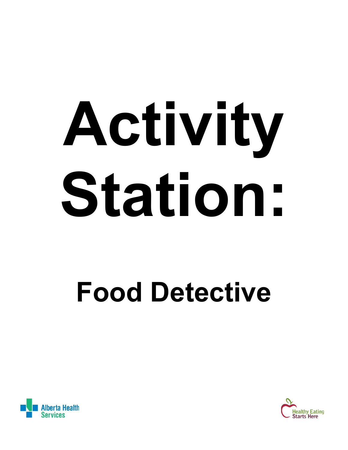# **Activity Station:**

## **Food Detective**



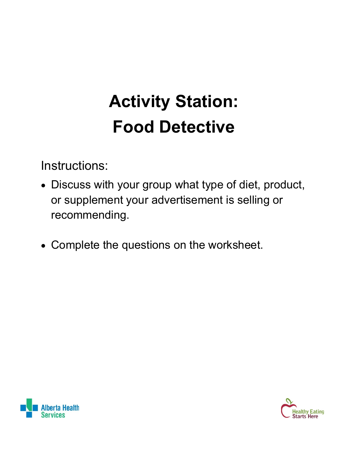### **Activity Station: Food Detective**

Instructions:

- Discuss with your group what type of diet, product, or supplement your advertisement is selling or recommending.
- Complete the questions on the worksheet.